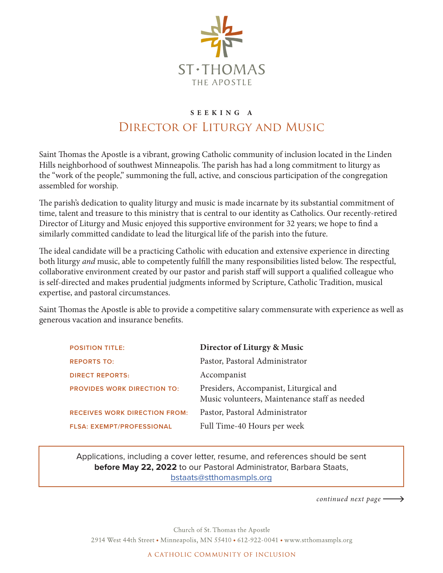

## **S E E K I N G A**  Director of Liturgy and Music

Saint Thomas the Apostle is a vibrant, growing Catholic community of inclusion located in the Linden Hills neighborhood of southwest Minneapolis. The parish has had a long commitment to liturgy as the "work of the people," summoning the full, active, and conscious participation of the congregation assembled for worship.

The parish's dedication to quality liturgy and music is made incarnate by its substantial commitment of time, talent and treasure to this ministry that is central to our identity as Catholics. Our recently-retired Director of Liturgy and Music enjoyed this supportive environment for 32 years; we hope to find a similarly committed candidate to lead the liturgical life of the parish into the future.

The ideal candidate will be a practicing Catholic with education and extensive experience in directing both liturgy *and* music, able to competently fulfill the many responsibilities listed below. The respectful, collaborative environment created by our pastor and parish staff will support a qualified colleague who is self-directed and makes prudential judgments informed by Scripture, Catholic Tradition, musical expertise, and pastoral circumstances.

Saint Thomas the Apostle is able to provide a competitive salary commensurate with experience as well as generous vacation and insurance benefits.

| <b>POSITION TITLE:</b>               | Director of Liturgy & Music                                                             |
|--------------------------------------|-----------------------------------------------------------------------------------------|
| <b>REPORTS TO:</b>                   | Pastor, Pastoral Administrator                                                          |
| <b>DIRECT REPORTS:</b>               | Accompanist                                                                             |
| <b>PROVIDES WORK DIRECTION TO:</b>   | Presiders, Accompanist, Liturgical and<br>Music volunteers, Maintenance staff as needed |
| <b>RECEIVES WORK DIRECTION FROM:</b> | Pastor, Pastoral Administrator                                                          |
| <b>FLSA: EXEMPT/PROFESSIONAL</b>     | Full Time-40 Hours per week                                                             |

Applications, including a cover letter, resume, and references should be sent **before May 22, 2022** to our Pastoral Administrator, Barbara Staats, bstaats@stthomasmpls.org

*continued next page* 

Church of St. Thomas the Apostle 2914 West 44th Street • Minneapolis, MN 55410 • 612-922-0041 • www.stthomasmpls.org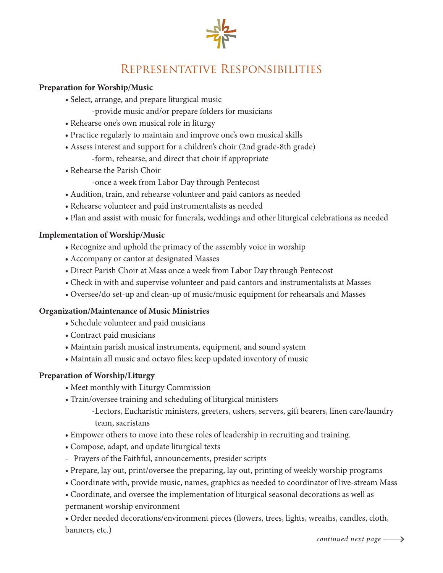

# Representative Responsibilities

#### **Preparation for Worship/Music**

- Select, arrange, and prepare liturgical music
	- -provide music and/or prepare folders for musicians
- Rehearse one's own musical role in liturgy
- Practice regularly to maintain and improve one's own musical skills
- Assess interest and support for a children's choir (2nd grade-8th grade)
	- -form, rehearse, and direct that choir if appropriate
- Rehearse the Parish Choir
	- -once a week from Labor Day through Pentecost
- Audition, train, and rehearse volunteer and paid cantors as needed
- Rehearse volunteer and paid instrumentalists as needed
- Plan and assist with music for funerals, weddings and other liturgical celebrations as needed

#### **Implementation of Worship/Music**

- Recognize and uphold the primacy of the assembly voice in worship
- Accompany or cantor at designated Masses
- Direct Parish Choir at Mass once a week from Labor Day through Pentecost
- Check in with and supervise volunteer and paid cantors and instrumentalists at Masses
- Oversee/do set-up and clean-up of music/music equipment for rehearsals and Masses

#### **Organization/Maintenance of Music Ministries**

- Schedule volunteer and paid musicians
- Contract paid musicians
- Maintain parish musical instruments, equipment, and sound system
- Maintain all music and octavo files; keep updated inventory of music

#### **Preparation of Worship/Liturgy**

- Meet monthly with Liturgy Commission
- Train/oversee training and scheduling of liturgical ministers
	- -Lectors, Eucharistic ministers, greeters, ushers, servers, gift bearers, linen care/laundry team, sacristans
- Empower others to move into these roles of leadership in recruiting and training.
- Compose, adapt, and update liturgical texts
- Prayers of the Faithful, announcements, presider scripts
- Prepare, lay out, print/oversee the preparing, lay out, printing of weekly worship programs
- Coordinate with, provide music, names, graphics as needed to coordinator of live-stream Mass
- Coordinate, and oversee the implementation of liturgical seasonal decorations as well as permanent worship environment

• Order needed decorations/environment pieces (flowers, trees, lights, wreaths, candles, cloth, banners, etc.)

*continued next page*